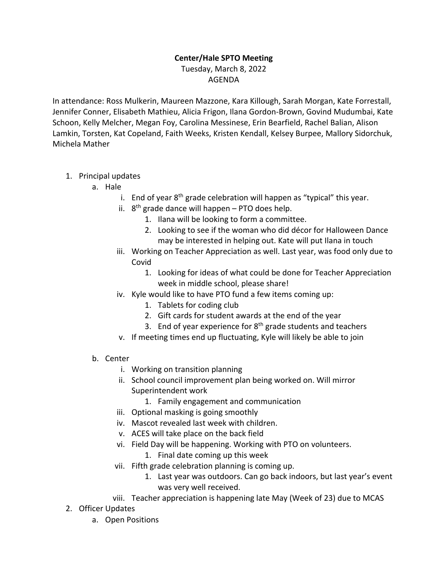## **Center/Hale SPTO Meeting** Tuesday, March 8, 2022 AGENDA

In attendance: Ross Mulkerin, Maureen Mazzone, Kara Killough, Sarah Morgan, Kate Forrestall, Jennifer Conner, Elisabeth Mathieu, Alicia Frigon, Ilana Gordon-Brown, Govind Mudumbai, Kate Schoon, Kelly Melcher, Megan Foy, Carolina Messinese, Erin Bearfield, Rachel Balian, Alison Lamkin, Torsten, Kat Copeland, Faith Weeks, Kristen Kendall, Kelsey Burpee, Mallory Sidorchuk, Michela Mather

- 1. Principal updates
	- a. Hale
		- i. End of year  $8<sup>th</sup>$  grade celebration will happen as "typical" this year.
		- ii.  $8<sup>th</sup>$  grade dance will happen PTO does help.
			- 1. Ilana will be looking to form a committee.
			- 2. Looking to see if the woman who did décor for Halloween Dance may be interested in helping out. Kate will put Ilana in touch
		- iii. Working on Teacher Appreciation as well. Last year, was food only due to Covid
			- 1. Looking for ideas of what could be done for Teacher Appreciation week in middle school, please share!
		- iv. Kyle would like to have PTO fund a few items coming up:
			- 1. Tablets for coding club
			- 2. Gift cards for student awards at the end of the year
			- 3. End of year experience for  $8<sup>th</sup>$  grade students and teachers
		- v. If meeting times end up fluctuating, Kyle will likely be able to join
	- b. Center
		- i. Working on transition planning
		- ii. School council improvement plan being worked on. Will mirror Superintendent work
			- 1. Family engagement and communication
		- iii. Optional masking is going smoothly
		- iv. Mascot revealed last week with children.
		- v. ACES will take place on the back field
		- vi. Field Day will be happening. Working with PTO on volunteers.
			- 1. Final date coming up this week
		- vii. Fifth grade celebration planning is coming up.
			- 1. Last year was outdoors. Can go back indoors, but last year's event was very well received.
		- viii. Teacher appreciation is happening late May (Week of 23) due to MCAS
- 2. Officer Updates
	- a. Open Positions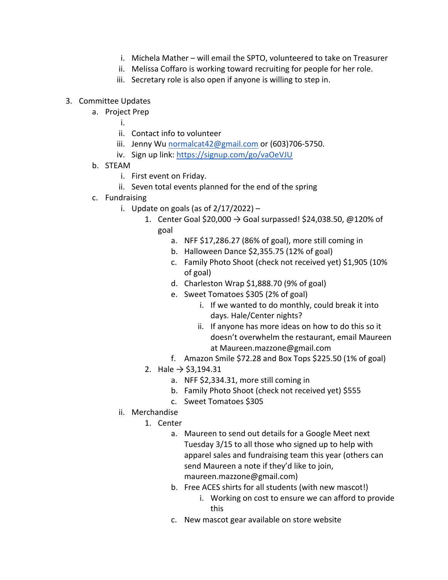- i. Michela Mather will email the SPTO, volunteered to take on Treasurer
- ii. Melissa Coffaro is working toward recruiting for people for her role.
- iii. Secretary role is also open if anyone is willing to step in.

## 3. Committee Updates

- a. Project Prep
	- i.
	- ii. Contact info to volunteer
	- iii. Jenny Wu normalcat42@gmail.com or (603)706-5750.
	- iv. Sign up link: https://signup.com/go/vaOeVJU
- b. STEAM
	- i. First event on Friday.
	- ii. Seven total events planned for the end of the spring
- c. Fundraising
	- i. Update on goals (as of  $2/17/2022$ )
		- 1. Center Goal \$20,000  $\rightarrow$  Goal surpassed! \$24,038.50, @120% of goal
			- a. NFF \$17,286.27 (86% of goal), more still coming in
			- b. Halloween Dance \$2,355.75 (12% of goal)
			- c. Family Photo Shoot (check not received yet) \$1,905 (10% of goal)
			- d. Charleston Wrap \$1,888.70 (9% of goal)
			- e. Sweet Tomatoes \$305 (2% of goal)
				- i. If we wanted to do monthly, could break it into days. Hale/Center nights?
				- ii. If anyone has more ideas on how to do this so it doesn't overwhelm the restaurant, email Maureen at Maureen.mazzone@gmail.com
			- f. Amazon Smile \$72.28 and Box Tops \$225.50 (1% of goal)
		- 2. Hale  $→$  \$3,194.31
			- a. NFF \$2,334.31, more still coming in
			- b. Family Photo Shoot (check not received yet) \$555
			- c. Sweet Tomatoes \$305
	- ii. Merchandise
		- 1. Center
			- a. Maureen to send out details for a Google Meet next Tuesday 3/15 to all those who signed up to help with apparel sales and fundraising team this year (others can send Maureen a note if they'd like to join, maureen.mazzone@gmail.com)
			- b. Free ACES shirts for all students (with new mascot!)
				- i. Working on cost to ensure we can afford to provide this
			- c. New mascot gear available on store website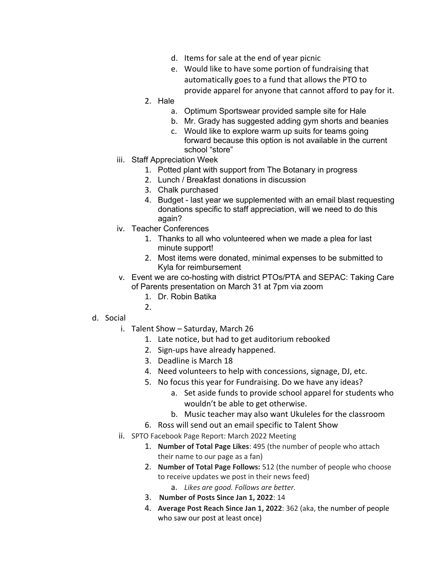- d. Items for sale at the end of year picnic
- e. Would like to have some portion of fundraising that automatically goes to a fund that allows the PTO to provide apparel for anyone that cannot afford to pay for it.
- 2. Hale
	- a. Optimum Sportswear provided sample site for Hale
	- b. Mr. Grady has suggested adding gym shorts and beanies
	- c. Would like to explore warm up suits for teams going forward because this option is not available in the current school "store"
- iii. Staff Appreciation Week
	- 1. Potted plant with support from The Botanary in progress
	- 2. Lunch / Breakfast donations in discussion
	- 3. Chalk purchased
	- 4. Budget last year we supplemented with an email blast requesting donations specific to staff appreciation, will we need to do this again?
- iv. Teacher Conferences
	- 1. Thanks to all who volunteered when we made a plea for last minute support!
	- 2. Most items were donated, minimal expenses to be submitted to Kyla for reimbursement
- v. Event we are co-hosting with district PTOs/PTA and SEPAC: Taking Care of Parents presentation on March 31 at 7pm via zoom
	- 1. Dr. Robin Batika
	- $2<sub>1</sub>$

## d. Social

- i. Talent Show Saturday, March 26
	- 1. Late notice, but had to get auditorium rebooked
	- 2. Sign-ups have already happened.
	- 3. Deadline is March 18
	- 4. Need volunteers to help with concessions, signage, DJ, etc.
	- 5. No focus this year for Fundraising. Do we have any ideas?
		- a. Set aside funds to provide school apparel for students who wouldn't be able to get otherwise.
		- b. Music teacher may also want Ukuleles for the classroom
	- 6. Ross will send out an email specific to Talent Show
- ii. SPTO Facebook Page Report: March 2022 Meeting
	- 1. **Number of Total Page Likes**: 495 (the number of people who attach their name to our page as a fan)
	- 2. **Number of Total Page Follows:** 512 (the number of people who choose to receive updates we post in their news feed)
		- a. *Likes are good. Follows are better.*
	- 3. **Number of Posts Since Jan 1, 2022**: 14
	- 4. **Average Post Reach Since Jan 1, 2022**: 362 (aka, the number of people who saw our post at least once)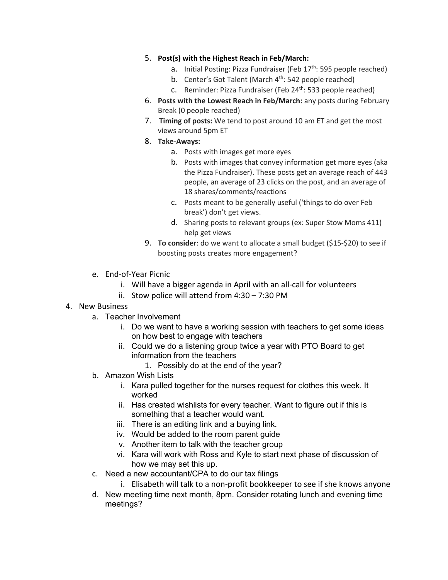- 5. **Post(s) with the Highest Reach in Feb/March:**
	- a. Initial Posting: Pizza Fundraiser (Feb  $17<sup>th</sup>$ : 595 people reached)
	- b. Center's Got Talent (March  $4<sup>th</sup>$ : 542 people reached)
	- c. Reminder: Pizza Fundraiser (Feb 24<sup>th</sup>: 533 people reached)
- 6. **Posts with the Lowest Reach in Feb/March:** any posts during February Break (0 people reached)
- 7. **Timing of posts:** We tend to post around 10 am ET and get the most views around 5pm ET
- 8. **Take-Aways:**
	- a. Posts with images get more eyes
	- b. Posts with images that convey information get more eyes (aka the Pizza Fundraiser). These posts get an average reach of 443 people, an average of 23 clicks on the post, and an average of 18 shares/comments/reactions
	- c. Posts meant to be generally useful ('things to do over Feb break') don't get views.
	- d. Sharing posts to relevant groups (ex: Super Stow Moms 411) help get views
- 9. **To consider**: do we want to allocate a small budget (\$15-\$20) to see if boosting posts creates more engagement?
- e. End-of-Year Picnic
	- i. Will have a bigger agenda in April with an all-call for volunteers
	- ii. Stow police will attend from 4:30 7:30 PM
- 4. New Business
	- a. Teacher Involvement
		- i. Do we want to have a working session with teachers to get some ideas on how best to engage with teachers
		- ii. Could we do a listening group twice a year with PTO Board to get information from the teachers
			- 1. Possibly do at the end of the year?
	- b. Amazon Wish Lists
		- i. Kara pulled together for the nurses request for clothes this week. It worked
		- ii. Has created wishlists for every teacher. Want to figure out if this is something that a teacher would want.
		- iii. There is an editing link and a buying link.
		- iv. Would be added to the room parent guide
		- v. Another item to talk with the teacher group
		- vi. Kara will work with Ross and Kyle to start next phase of discussion of how we may set this up.
	- c. Need a new accountant/CPA to do our tax filings
		- i. Elisabeth will talk to a non-profit bookkeeper to see if she knows anyone
	- d. New meeting time next month, 8pm. Consider rotating lunch and evening time meetings?